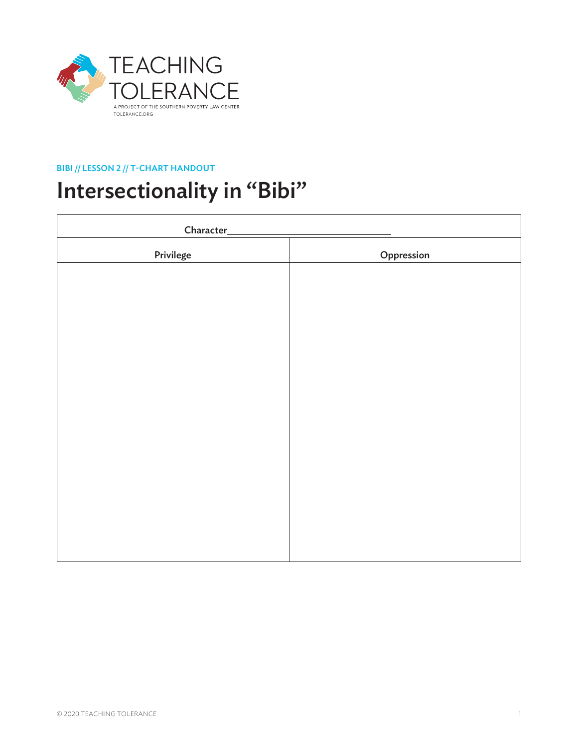

## BIBI // LESSON 2 // T-CHART HANDOUT

## Intersectionality in "Bibi"

| Character_ |            |
|------------|------------|
| Privilege  | Oppression |
|            |            |
|            |            |
|            |            |
|            |            |
|            |            |
|            |            |
|            |            |
|            |            |
|            |            |
|            |            |
|            |            |
|            |            |
|            |            |
|            |            |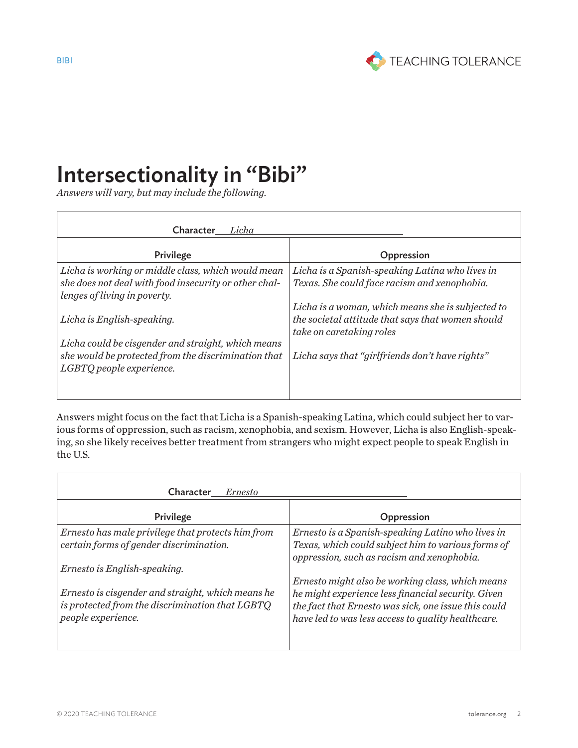

## Intersectionality in "Bibi"

*Answers will vary, but may include the following.*

| Character<br>Licha                                    |                                                                               |
|-------------------------------------------------------|-------------------------------------------------------------------------------|
| Privilege                                             | Oppression                                                                    |
| Licha is working or middle class, which would mean    | Licha is a Spanish-speaking Latina who lives in                               |
| she does not deal with food insecurity or other chal- | Texas. She could face racism and xenophobia.                                  |
| lenges of living in poverty.                          | Licha is a woman, which means she is subjected to                             |
| Licha is English-speaking.                            | the societal attitude that says that women should<br>take on caretaking roles |
| Licha could be cisgender and straight, which means    |                                                                               |
| she would be protected from the discrimination that   | Licha says that "girlfriends don't have rights"                               |
| LGBTQ people experience.                              |                                                                               |
|                                                       |                                                                               |
|                                                       |                                                                               |

Answers might focus on the fact that Licha is a Spanish-speaking Latina, which could subject her to various forms of oppression, such as racism, xenophobia, and sexism. However, Licha is also English-speaking, so she likely receives better treatment from strangers who might expect people to speak English in the U.S.

| Character<br><i>Ernesto</i>                                                                                                |                                                                                                                                                                                                                      |
|----------------------------------------------------------------------------------------------------------------------------|----------------------------------------------------------------------------------------------------------------------------------------------------------------------------------------------------------------------|
| Privilege                                                                                                                  | Oppression                                                                                                                                                                                                           |
| Ernesto has male privilege that protects him from<br>certain forms of gender discrimination.                               | Ernesto is a Spanish-speaking Latino who lives in<br>Texas, which could subject him to various forms of<br>oppression, such as racism and xenophobia.                                                                |
| Ernesto is English-speaking.                                                                                               |                                                                                                                                                                                                                      |
| Ernesto is cisgender and straight, which means he<br>is protected from the discrimination that LGBTQ<br>people experience. | Ernesto might also be working class, which means<br>he might experience less financial security. Given<br>the fact that Ernesto was sick, one issue this could<br>have led to was less access to quality healthcare. |